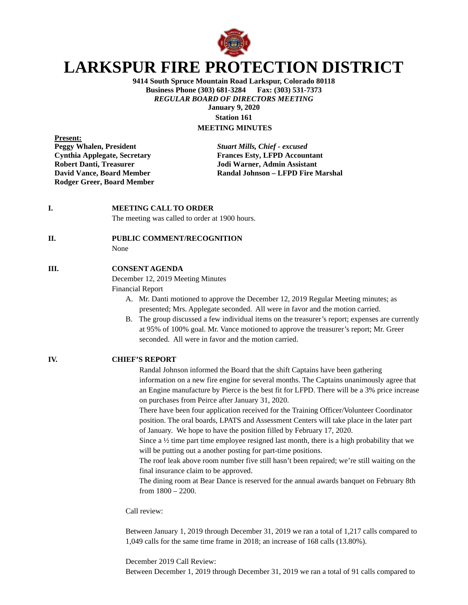

# **LARKSPUR FIRE PROTECTION DISTRICT**

**9414 South Spruce Mountain Road Larkspur, Colorado 80118 Business Phone (303) 681-3284 Fax: (303) 531-7373** *REGULAR BOARD OF DIRECTORS MEETING* **January 9, 2020 Station 161**

**MEETING MINUTES**

**Present:**<br>**Peggy Whalen, President Robert Danti, Treasurer School School School School School School School School School School School School School School School School School School School School School School School School School School School School S Rodger Greer, Board Member**

**Peggy Whalen, President** *Stuart Mills, Chief - excused* **Cynthia Applegate, Secretary Frances Esty, LFPD Accountant David Vance, Board Member Randal Johnson – LFPD Fire Marshal**

**I. MEETING CALL TO ORDER** 

The meeting was called to order at 1900 hours.

#### **II. PUBLIC COMMENT/RECOGNITION**

None

### **III. CONSENT AGENDA**

December 12, 2019 Meeting Minutes

Financial Report

- A. Mr. Danti motioned to approve the December 12, 2019 Regular Meeting minutes; as presented; Mrs. Applegate seconded. All were in favor and the motion carried.
- B. The group discussed a few individual items on the treasurer's report; expenses are currently at 95% of 100% goal. Mr. Vance motioned to approve the treasurer's report; Mr. Greer seconded. All were in favor and the motion carried.

**IV. CHIEF'S REPORT**

Randal Johnson informed the Board that the shift Captains have been gathering information on a new fire engine for several months. The Captains unanimously agree that an Engine manufacture by Pierce is the best fit for LFPD. There will be a 3% price increase on purchases from Peirce after January 31, 2020.

There have been four application received for the Training Officer/Volunteer Coordinator position. The oral boards, LPATS and Assessment Centers will take place in the later part of January. We hope to have the position filled by February 17, 2020.

Since a  $\frac{1}{2}$  time part time employee resigned last month, there is a high probability that we will be putting out a another posting for part-time positions.

The roof leak above room number five still hasn't been repaired; we're still waiting on the final insurance claim to be approved.

The dining room at Bear Dance is reserved for the annual awards banquet on February 8th from 1800 – 2200.

Call review:

Between January 1, 2019 through December 31, 2019 we ran a total of 1,217 calls compared to 1,049 calls for the same time frame in 2018; an increase of 168 calls (13.80%).

December 2019 Call Review:

Between December 1, 2019 through December 31, 2019 we ran a total of 91 calls compared to